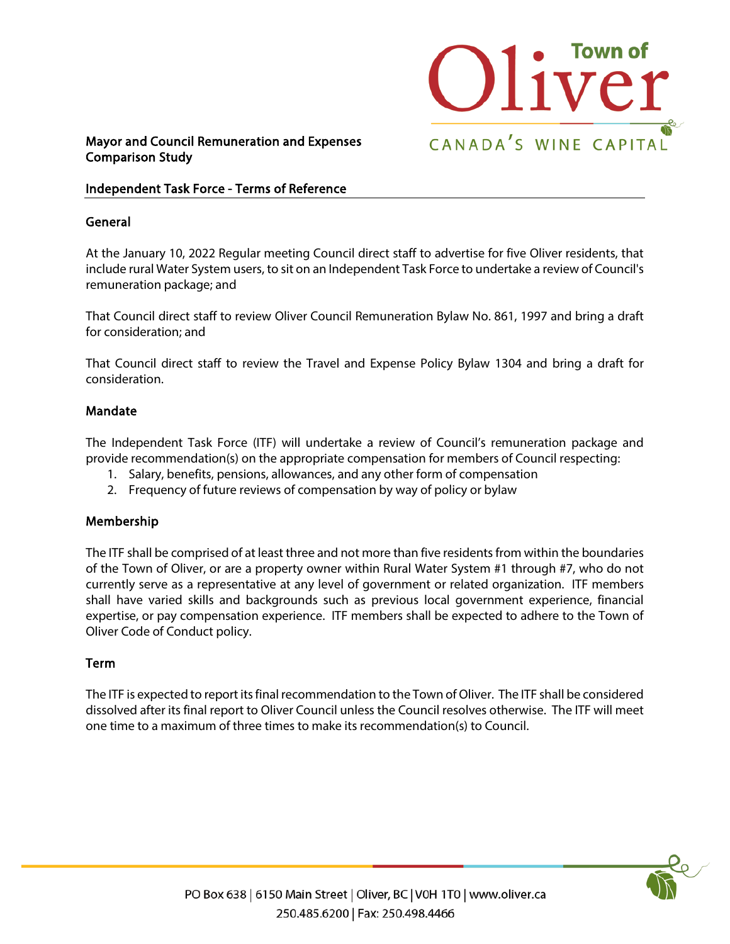

# Mayor and Council Remuneration and Expenses Comparison Study

### Independent Task Force - Terms of Reference

#### General

At the January 10, 2022 Regular meeting Council direct staff to advertise for five Oliver residents, that include rural Water System users, to sit on an Independent Task Force to undertake a review of Council's remuneration package; and

That Council direct staff to review Oliver Council Remuneration Bylaw No. 861, 1997 and bring a draft for consideration; and

That Council direct staff to review the Travel and Expense Policy Bylaw 1304 and bring a draft for consideration.

### Mandate

The Independent Task Force (ITF) will undertake a review of Council's remuneration package and provide recommendation(s) on the appropriate compensation for members of Council respecting:

- 1. Salary, benefits, pensions, allowances, and any other form of compensation
- 2. Frequency of future reviews of compensation by way of policy or bylaw

## Membership

The ITF shall be comprised of at least three and not more than five residents from within the boundaries of the Town of Oliver, or are a property owner within Rural Water System #1 through #7, who do not currently serve as a representative at any level of government or related organization. ITF members shall have varied skills and backgrounds such as previous local government experience, financial expertise, or pay compensation experience. ITF members shall be expected to adhere to the Town of Oliver Code of Conduct policy.

#### Term

The ITF is expected to report its final recommendation to the Town of Oliver. The ITF shall be considered dissolved after its final report to Oliver Council unless the Council resolves otherwise. The ITF will meet one time to a maximum of three times to make its recommendation(s) to Council.